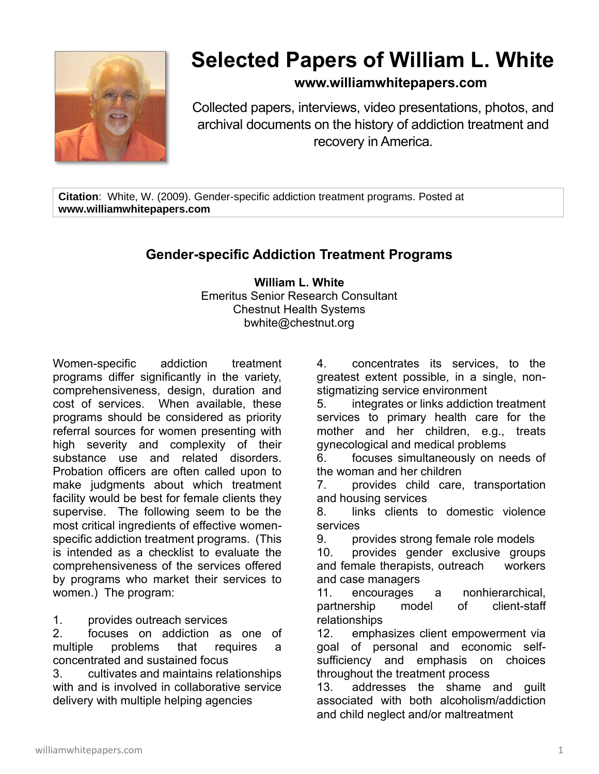

## **Selected Papers of William L. White**

## **www.williamwhitepapers.com**

Collected papers, interviews, video presentations, photos, and archival documents on the history of addiction treatment and recovery in America.

**Citation**: White, W. (2009). Gender-specific addiction treatment programs. Posted at **www.williamwhitepapers.com**

## **Gender-specific Addiction Treatment Programs**

**William L. White** Emeritus Senior Research Consultant Chestnut Health Systems bwhite@chestnut.org

Women-specific addiction treatment programs differ significantly in the variety, comprehensiveness, design, duration and cost of services. When available, these programs should be considered as priority referral sources for women presenting with high severity and complexity of their substance use and related disorders. Probation officers are often called upon to make judgments about which treatment facility would be best for female clients they supervise. The following seem to be the most critical ingredients of effective womenspecific addiction treatment programs. (This is intended as a checklist to evaluate the comprehensiveness of the services offered by programs who market their services to women.) The program:

1. provides outreach services

2. focuses on addiction as one of multiple problems that requires a concentrated and sustained focus

3. cultivates and maintains relationships with and is involved in collaborative service delivery with multiple helping agencies

4. concentrates its services, to the greatest extent possible, in a single, nonstigmatizing service environment

5. integrates or links addiction treatment services to primary health care for the mother and her children, e.g., treats gynecological and medical problems

6. focuses simultaneously on needs of the woman and her children

7. provides child care, transportation and housing services

8. links clients to domestic violence services

9. provides strong female role models

10. provides gender exclusive groups and female therapists, outreach workers and case managers

11. encourages a nonhierarchical, partnership model of client-staff relationships

12. emphasizes client empowerment via goal of personal and economic selfsufficiency and emphasis on choices throughout the treatment process

13. addresses the shame and guilt associated with both alcoholism/addiction and child neglect and/or maltreatment